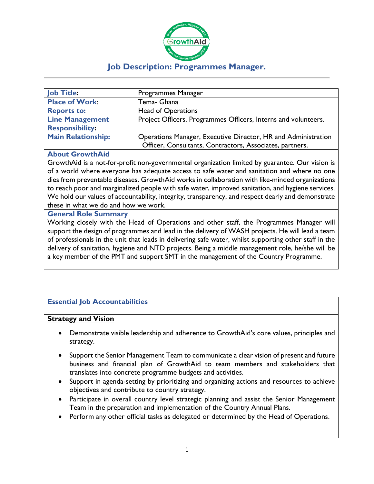

# **Job Description: Programmes Manager.**

| <b>Job Title:</b>         | Programmes Manager                                             |
|---------------------------|----------------------------------------------------------------|
| <b>Place of Work:</b>     | Tema- Ghana                                                    |
| <b>Reports to:</b>        | <b>Head of Operations</b>                                      |
| <b>Line Management</b>    | Project Officers, Programmes Officers, Interns and volunteers. |
| <b>Responsibility:</b>    |                                                                |
| <b>Main Relationship:</b> | Operations Manager, Executive Director, HR and Administration  |
|                           | Officer, Consultants, Contractors, Associates, partners.       |

#### **About GrowthAid**

GrowthAid is a not-for-profit non-governmental organization limited by guarantee. Our vision is of a world where everyone has adequate access to safe water and sanitation and where no one dies from preventable diseases. GrowthAid works in collaboration with like-minded organizations to reach poor and marginalized people with safe water, improved sanitation, and hygiene services. We hold our values of accountability, integrity, transparency, and respect dearly and demonstrate these in what we do and how we work.

#### **General Role Summary**

Working closely with the Head of Operations and other staff, the Programmes Manager will support the design of programmes and lead in the delivery of WASH projects. He will lead a team of professionals in the unit that leads in delivering safe water, whilst supporting other staff in the delivery of sanitation, hygiene and NTD projects. Being a middle management role, he/she will be a key member of the PMT and support SMT in the management of the Country Programme.

# **Essential Job Accountabilities**

#### **Strategy and Vision**

- Demonstrate visible leadership and adherence to GrowthAid's core values, principles and strategy.
- Support the Senior Management Team to communicate a clear vision of present and future business and financial plan of GrowthAid to team members and stakeholders that translates into concrete programme budgets and activities.
- Support in agenda-setting by prioritizing and organizing actions and resources to achieve objectives and contribute to country strategy.
- Participate in overall country level strategic planning and assist the Senior Management Team in the preparation and implementation of the Country Annual Plans.
- Perform any other official tasks as delegated or determined by the Head of Operations.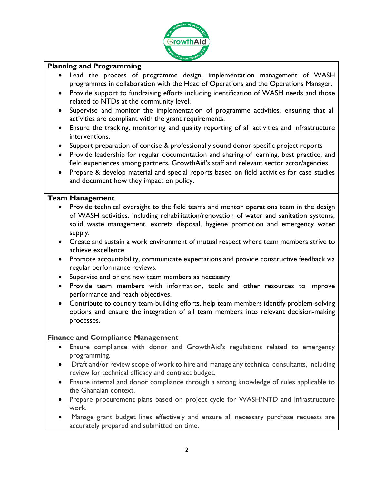

# **Planning and Programming**

- Lead the process of programme design, implementation management of WASH programmes in collaboration with the Head of Operations and the Operations Manager.
- Provide support to fundraising efforts including identification of WASH needs and those related to NTDs at the community level.
- Supervise and monitor the implementation of programme activities, ensuring that all activities are compliant with the grant requirements.
- Ensure the tracking, monitoring and quality reporting of all activities and infrastructure interventions.
- Support preparation of concise & professionally sound donor specific project reports
- Provide leadership for regular documentation and sharing of learning, best practice, and field experiences among partners, GrowthAid's staff and relevant sector actor/agencies.
- Prepare & develop material and special reports based on field activities for case studies and document how they impact on policy.

#### **Team Management**

- Provide technical oversight to the field teams and mentor operations team in the design of WASH activities, including rehabilitation/renovation of water and sanitation systems, solid waste management, excreta disposal, hygiene promotion and emergency water supply.
- Create and sustain a work environment of mutual respect where team members strive to achieve excellence.
- Promote accountability, communicate expectations and provide constructive feedback via regular performance reviews.
- Supervise and orient new team members as necessary.
- Provide team members with information, tools and other resources to improve performance and reach objectives.
- Contribute to country team-building efforts, help team members identify problem-solving options and ensure the integration of all team members into relevant decision-making processes.

# **Finance and Compliance Management**

- Ensure compliance with donor and GrowthAid's regulations related to emergency programming.
- Draft and/or review scope of work to hire and manage any technical consultants, including review for technical efficacy and contract budget.
- Ensure internal and donor compliance through a strong knowledge of rules applicable to the Ghanaian context.
- Prepare procurement plans based on project cycle for WASH/NTD and infrastructure work.
- Manage grant budget lines effectively and ensure all necessary purchase requests are accurately prepared and submitted on time.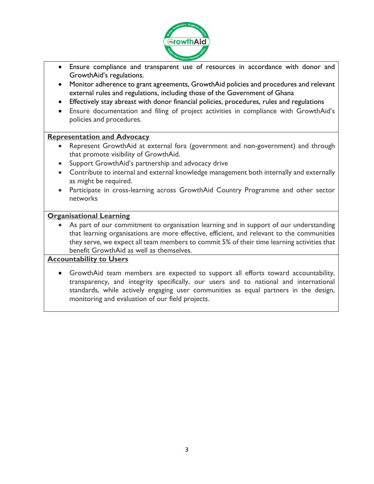

- Ensure compliance and transparent use of resources in accordance with donor and GrowthAid's regulations.
- Monitor adherence to grant agreements, GrowthAid policies and procedures and relevant external rules and regulations, including those of the Government of Ghana
- Effectively stay abreast with donor financial policies, procedures, rules and regulations
- Ensure documentation and filing of project activities in compliance with GrowthAid's policies and procedures.

#### **Representation and Advocacy**

- Represent GrowthAid at external fora (government and non-government) and through that promote visibility of GrowthAid.
- Support GrowthAid's partnership and advocacy drive
- Contribute to internal and external knowledge management both internally and externally as might be required.
- Participate in cross-learning across GrowthAid Country Programme and other sector networks

# **Organisational Learning**

As part of our commitment to organisation learning and in support of our understanding that learning organisations are more effective, efficient, and relevant to the communities they serve, we expect all team members to commit 5% of their time learning activities that benefit GrowthAid as well as themselves.

# **Accountability to Users**

• GrowthAid team members are expected to support all efforts toward accountability, transparency, and integrity specifically, our users and to national and international standards, while actively engaging user communities as equal partners in the design, monitoring and evaluation of our field projects.